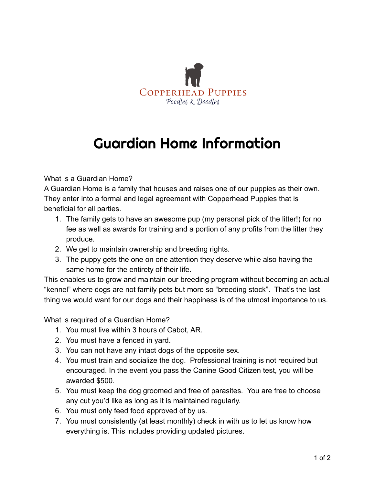

## Guardian Home Information

What is a Guardian Home?

A Guardian Home is a family that houses and raises one of our puppies as their own. They enter into a formal and legal agreement with Copperhead Puppies that is beneficial for all parties.

- 1. The family gets to have an awesome pup (my personal pick of the litter!) for no fee as well as awards for training and a portion of any profits from the litter they produce.
- 2. We get to maintain ownership and breeding rights.
- 3. The puppy gets the one on one attention they deserve while also having the same home for the entirety of their life.

This enables us to grow and maintain our breeding program without becoming an actual "kennel" where dogs are not family pets but more so "breeding stock". That's the last thing we would want for our dogs and their happiness is of the utmost importance to us.

What is required of a Guardian Home?

- 1. You must live within 3 hours of Cabot, AR.
- 2. You must have a fenced in yard.
- 3. You can not have any intact dogs of the opposite sex.
- 4. You must train and socialize the dog. Professional training is not required but encouraged. In the event you pass the Canine Good Citizen test, you will be awarded \$500.
- 5. You must keep the dog groomed and free of parasites. You are free to choose any cut you'd like as long as it is maintained regularly.
- 6. You must only feed food approved of by us.
- 7. You must consistently (at least monthly) check in with us to let us know how everything is. This includes providing updated pictures.